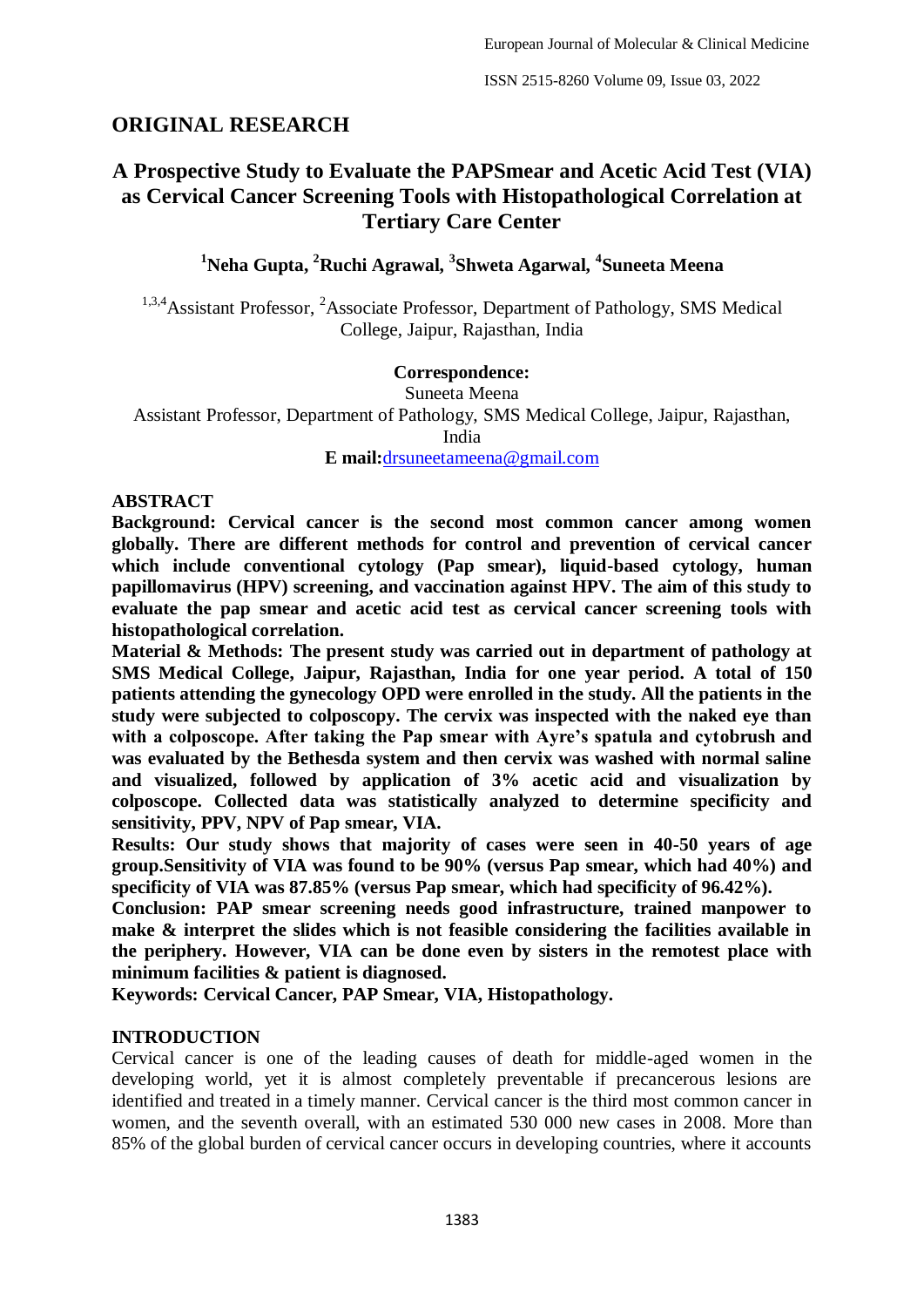# **ORIGINAL RESEARCH**

# **A Prospective Study to Evaluate the PAPSmear and Acetic Acid Test (VIA) as Cervical Cancer Screening Tools with Histopathological Correlation at Tertiary Care Center**

**<sup>1</sup>Neha Gupta, <sup>2</sup>Ruchi Agrawal, <sup>3</sup> Shweta Agarwal, <sup>4</sup> Suneeta Meena**

<sup>1,3,4</sup>Assistant Professor, <sup>2</sup>Associate Professor, Department of Pathology, SMS Medical College, Jaipur, Rajasthan, India

#### **Correspondence:**

Suneeta Meena Assistant Professor, Department of Pathology, SMS Medical College, Jaipur, Rajasthan, India

**E mail:**[drsuneetameena@gmail.com](mailto:drsuneetameena@gmail.com)

#### **ABSTRACT**

**Background: Cervical cancer is the second most common cancer among women globally. There are different methods for control and prevention of cervical cancer which include conventional cytology (Pap smear), liquid-based cytology, human papillomavirus (HPV) screening, and vaccination against HPV. The aim of this study to evaluate the pap smear and acetic acid test as cervical cancer screening tools with histopathological correlation.**

**Material & Methods: The present study was carried out in department of pathology at SMS Medical College, Jaipur, Rajasthan, India for one year period. A total of 150 patients attending the gynecology OPD were enrolled in the study. All the patients in the study were subjected to colposcopy. The cervix was inspected with the naked eye than with a colposcope. After taking the Pap smear with Ayre's spatula and cytobrush and was evaluated by the Bethesda system and then cervix was washed with normal saline and visualized, followed by application of 3% acetic acid and visualization by colposcope. Collected data was statistically analyzed to determine specificity and sensitivity, PPV, NPV of Pap smear, VIA.**

**Results: Our study shows that majority of cases were seen in 40-50 years of age group.Sensitivity of VIA was found to be 90% (versus Pap smear, which had 40%) and specificity of VIA was 87.85% (versus Pap smear, which had specificity of 96.42%).**

**Conclusion: PAP smear screening needs good infrastructure, trained manpower to make & interpret the slides which is not feasible considering the facilities available in the periphery. However, VIA can be done even by sisters in the remotest place with minimum facilities & patient is diagnosed.**

**Keywords: Cervical Cancer, PAP Smear, VIA, Histopathology.**

## **INTRODUCTION**

Cervical cancer is one of the leading causes of death for middle-aged women in the developing world, yet it is almost completely preventable if precancerous lesions are identified and treated in a timely manner. Cervical cancer is the third most common cancer in women, and the seventh overall, with an estimated 530 000 new cases in 2008. More than 85% of the global burden of cervical cancer occurs in developing countries, where it accounts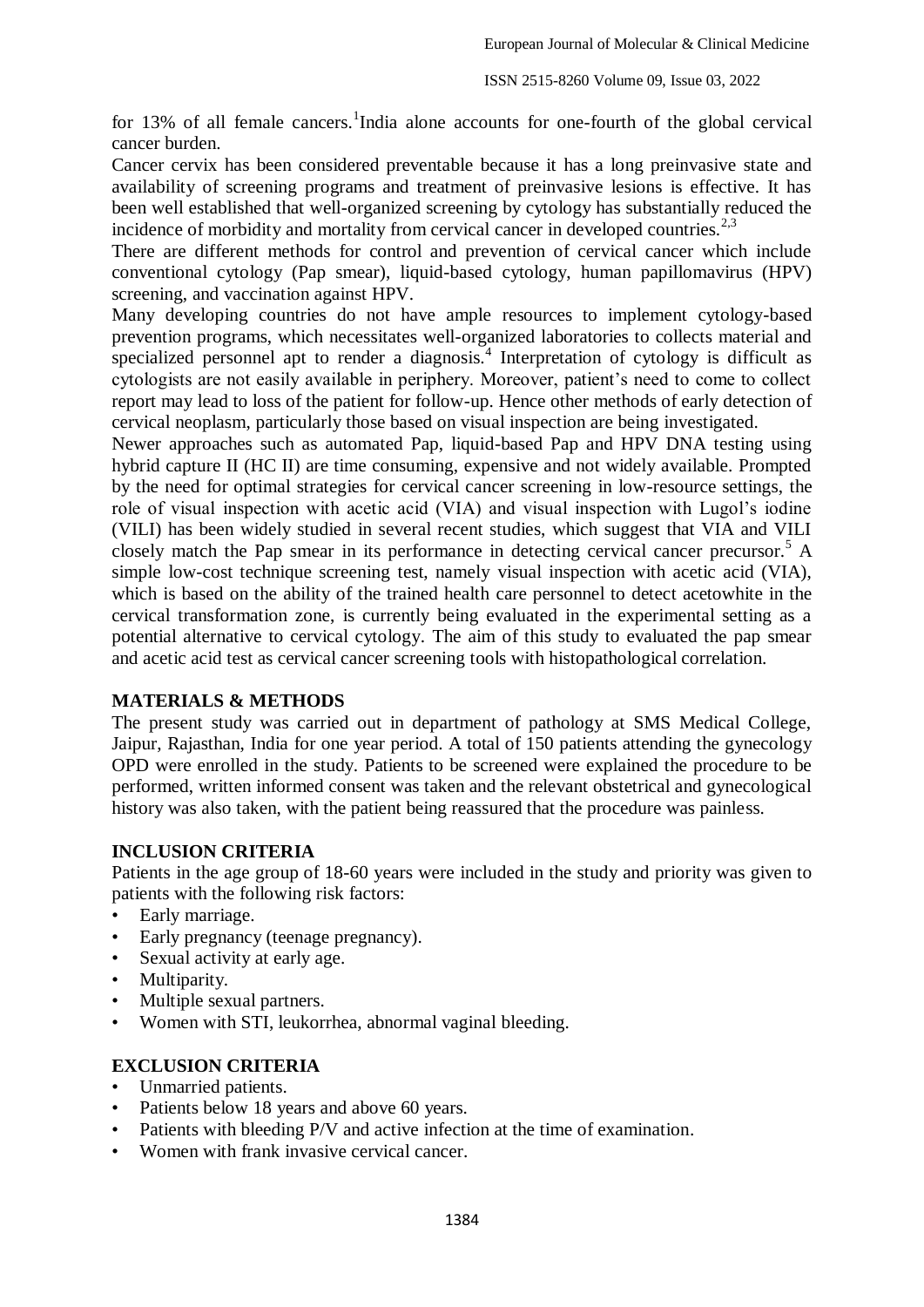for 13% of all female cancers.<sup>1</sup>India alone accounts for one-fourth of the global cervical cancer burden.

Cancer cervix has been considered preventable because it has a long preinvasive state and availability of screening programs and treatment of preinvasive lesions is effective. It has been well established that well-organized screening by cytology has substantially reduced the incidence of morbidity and mortality from cervical cancer in developed countries.<sup>2,3</sup>

There are different methods for control and prevention of cervical cancer which include conventional cytology (Pap smear), liquid-based cytology, human papillomavirus (HPV) screening, and vaccination against HPV.

Many developing countries do not have ample resources to implement cytology-based prevention programs, which necessitates well-organized laboratories to collects material and specialized personnel apt to render a diagnosis.<sup>4</sup> Interpretation of cytology is difficult as cytologists are not easily available in periphery. Moreover, patient's need to come to collect report may lead to loss of the patient for follow-up. Hence other methods of early detection of cervical neoplasm, particularly those based on visual inspection are being investigated.

Newer approaches such as automated Pap, liquid-based Pap and HPV DNA testing using hybrid capture II (HC II) are time consuming, expensive and not widely available. Prompted by the need for optimal strategies for cervical cancer screening in low-resource settings, the role of visual inspection with acetic acid (VIA) and visual inspection with Lugol's iodine (VILI) has been widely studied in several recent studies, which suggest that VIA and VILI closely match the Pap smear in its performance in detecting cervical cancer precursor.<sup>5</sup> A simple low-cost technique screening test, namely visual inspection with acetic acid (VIA), which is based on the ability of the trained health care personnel to detect acetowhite in the cervical transformation zone, is currently being evaluated in the experimental setting as a potential alternative to cervical cytology. The aim of this study to evaluated the pap smear and acetic acid test as cervical cancer screening tools with histopathological correlation.

# **MATERIALS & METHODS**

The present study was carried out in department of pathology at SMS Medical College, Jaipur, Rajasthan, India for one year period. A total of 150 patients attending the gynecology OPD were enrolled in the study. Patients to be screened were explained the procedure to be performed, written informed consent was taken and the relevant obstetrical and gynecological history was also taken, with the patient being reassured that the procedure was painless.

## **INCLUSION CRITERIA**

Patients in the age group of 18-60 years were included in the study and priority was given to patients with the following risk factors:

- Early marriage.
- Early pregnancy (teenage pregnancy).
- Sexual activity at early age.
- Multiparity.
- Multiple sexual partners.
- Women with STI, leukorrhea, abnormal vaginal bleeding.

## **EXCLUSION CRITERIA**

- Unmarried patients.
- Patients below 18 years and above 60 years.
- Patients with bleeding P/V and active infection at the time of examination.
- Women with frank invasive cervical cancer.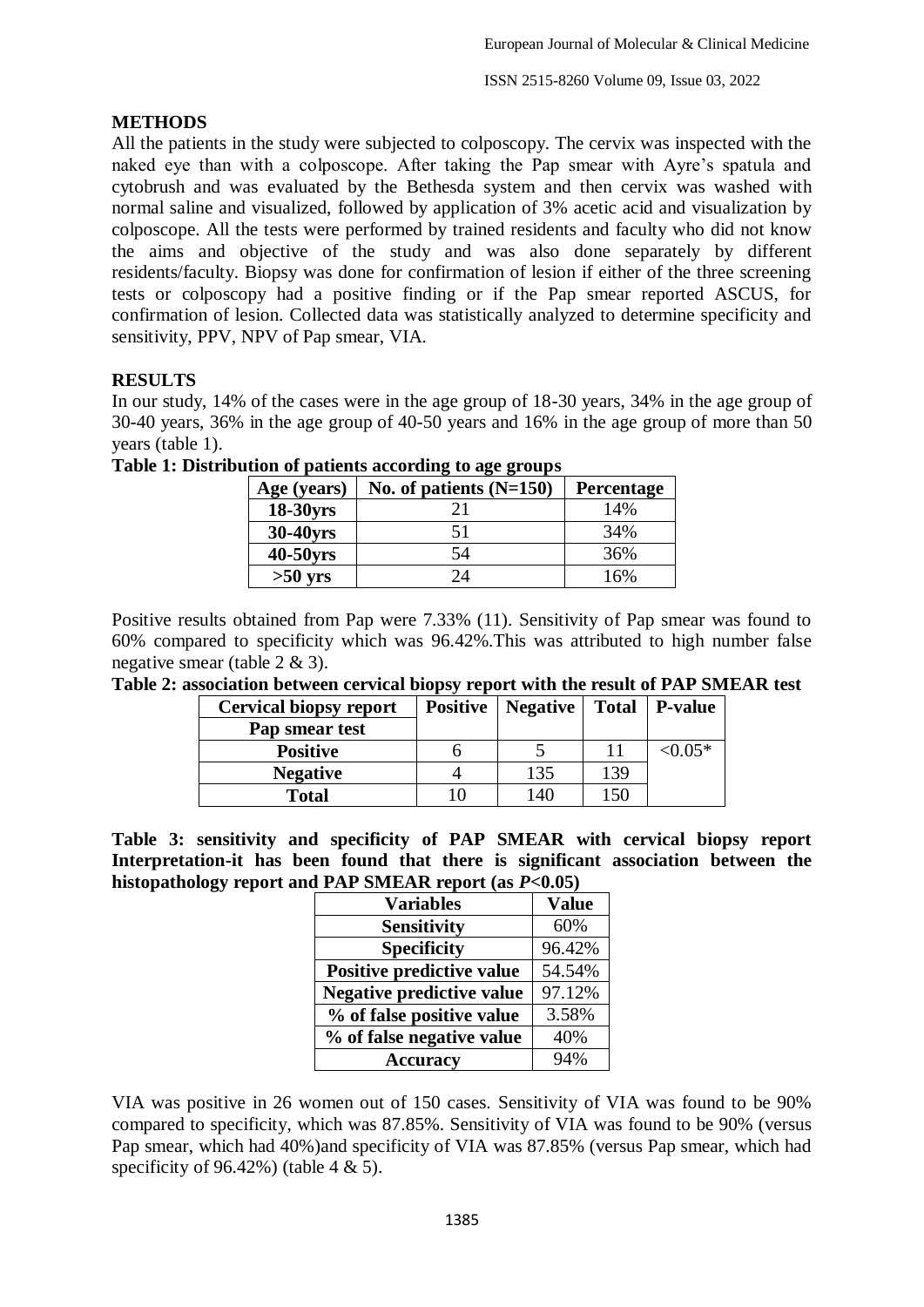## **METHODS**

All the patients in the study were subjected to colposcopy. The cervix was inspected with the naked eye than with a colposcope. After taking the Pap smear with Ayre's spatula and cytobrush and was evaluated by the Bethesda system and then cervix was washed with normal saline and visualized, followed by application of 3% acetic acid and visualization by colposcope. All the tests were performed by trained residents and faculty who did not know the aims and objective of the study and was also done separately by different residents/faculty. Biopsy was done for confirmation of lesion if either of the three screening tests or colposcopy had a positive finding or if the Pap smear reported ASCUS, for confirmation of lesion. Collected data was statistically analyzed to determine specificity and sensitivity, PPV, NPV of Pap smear, VIA.

# **RESULTS**

In our study, 14% of the cases were in the age group of 18-30 years, 34% in the age group of 30-40 years, 36% in the age group of 40-50 years and 16% in the age group of more than 50 years (table 1).

| Age (years) | No. of patients $(N=150)$ | Percentage |
|-------------|---------------------------|------------|
| 18-30yrs    |                           | 14%        |
| 30-40yrs    | 51                        | 34%        |
| 40-50yrs    | 54                        | 36%        |
| $>50$ yrs   | ۱4                        | 16%        |

**Table 1: Distribution of patients according to age groups**

Positive results obtained from Pap were 7.33% (11). Sensitivity of Pap smear was found to 60% compared to specificity which was 96.42%.This was attributed to high number false negative smear (table 2 & 3).

| , addociation d'et n'eth cel field dio po f<br>$1.60$ and $0.100$ and $0.000$ and $0.11$ |                               |  |                                   |                 |                 |
|------------------------------------------------------------------------------------------|-------------------------------|--|-----------------------------------|-----------------|-----------------|
|                                                                                          | <b>Cervical biopsy report</b> |  | <b>Positive</b>   <b>Negative</b> |                 | Total   P-value |
|                                                                                          | Pap smear test                |  |                                   |                 |                 |
|                                                                                          | <b>Positive</b>               |  |                                   |                 | $< 0.05*$       |
|                                                                                          | <b>Negative</b>               |  | 135                               | 139             |                 |
|                                                                                          | <b>Total</b>                  |  | l 40                              | 15 <sup>o</sup> |                 |

**Table 2: association between cervical biopsy report with the result of PAP SMEAR test**

**Table 3: sensitivity and specificity of PAP SMEAR with cervical biopsy report Interpretation-it has been found that there is significant association between the histopathology report and PAP SMEAR report (as** *P***<0.05)**

| <b>Variables</b>                 | <b>Value</b> |  |
|----------------------------------|--------------|--|
| <b>Sensitivity</b>               | 60%          |  |
| <b>Specificity</b>               | 96.42%       |  |
| <b>Positive predictive value</b> | 54.54%       |  |
| <b>Negative predictive value</b> | 97.12%       |  |
| % of false positive value        | 3.58%        |  |
| % of false negative value        | 40%          |  |
| <b>Accuracy</b>                  | 94%          |  |

VIA was positive in 26 women out of 150 cases. Sensitivity of VIA was found to be 90% compared to specificity, which was 87.85%. Sensitivity of VIA was found to be 90% (versus Pap smear, which had 40%)and specificity of VIA was 87.85% (versus Pap smear, which had specificity of  $96.42\%$ ) (table  $4 \& 5$ ).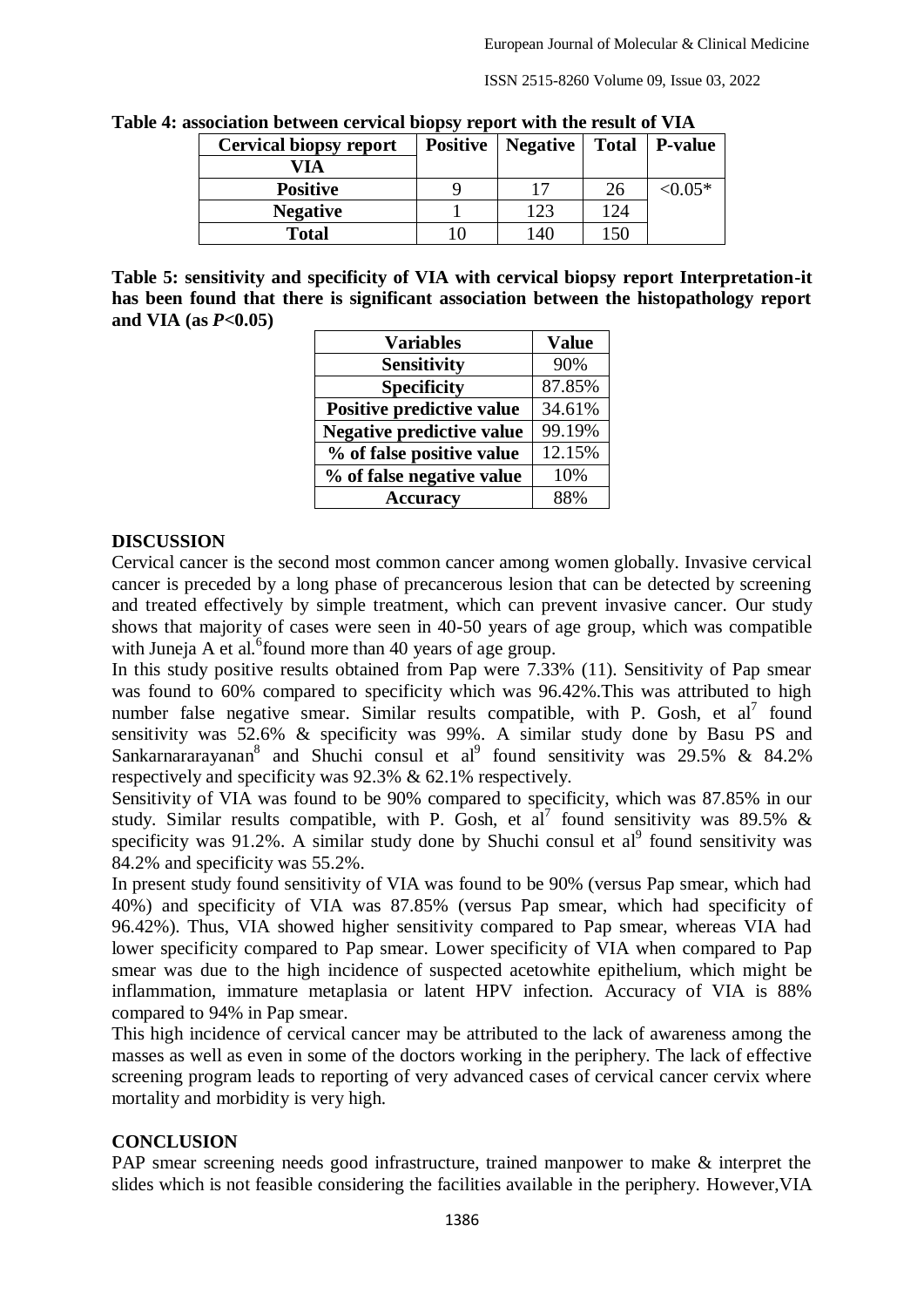ISSN 2515-8260 Volume 09, Issue 03, 2022

| $\frac{1}{2}$ is a contracted that $\frac{1}{2}$ is a contracted with the result of $\frac{1}{2}$ in $\frac{1}{2}$ |                 |          |     |                 |  |
|--------------------------------------------------------------------------------------------------------------------|-----------------|----------|-----|-----------------|--|
| <b>Cervical biopsy report</b>                                                                                      | <b>Positive</b> | Negative |     | Total   P-value |  |
| VIA                                                                                                                |                 |          |     |                 |  |
| <b>Positive</b>                                                                                                    |                 | 17       | 26  | $< 0.05*$       |  |
| <b>Negative</b>                                                                                                    |                 | 123      | 124 |                 |  |
| <b>Total</b>                                                                                                       |                 | 140      | 150 |                 |  |

**Table 4: association between cervical biopsy report with the result of VIA**

**Table 5: sensitivity and specificity of VIA with cervical biopsy report Interpretation-it has been found that there is significant association between the histopathology report and VIA (as** *P***<0.05)**

| <b>Variables</b>                 | <b>Value</b> |  |
|----------------------------------|--------------|--|
| <b>Sensitivity</b>               | 90%          |  |
| <b>Specificity</b>               | 87.85%       |  |
| <b>Positive predictive value</b> | 34.61%       |  |
| <b>Negative predictive value</b> | 99.19%       |  |
| % of false positive value        | 12.15%       |  |
| % of false negative value        | 10%          |  |
| <b>Accuracy</b>                  | 88%          |  |

#### **DISCUSSION**

Cervical cancer is the second most common cancer among women globally. Invasive cervical cancer is preceded by a long phase of precancerous lesion that can be detected by screening and treated effectively by simple treatment, which can prevent invasive cancer. Our study shows that majority of cases were seen in 40-50 years of age group, which was compatible with Juneja A et al.  $6$  found more than 40 years of age group.

In this study positive results obtained from Pap were 7.33% (11). Sensitivity of Pap smear was found to 60% compared to specificity which was 96.42%. This was attributed to high number false negative smear. Similar results compatible, with P. Gosh, et  $al^7$  found sensitivity was  $52.6\%$  & specificity was 99%. A similar study done by Basu PS and Sankarnararayanan<sup>8</sup> and Shuchi consul et al<sup>9</sup> found sensitivity was 29.5% & 84.2% respectively and specificity was 92.3% & 62.1% respectively.

Sensitivity of VIA was found to be 90% compared to specificity, which was 87.85% in our study. Similar results compatible, with P. Gosh, et  $a^7$  found sensitivity was 89.5% & specificity was  $91.2\%$ . A similar study done by Shuchi consul et al<sup>9</sup> found sensitivity was 84.2% and specificity was 55.2%.

In present study found sensitivity of VIA was found to be 90% (versus Pap smear, which had 40%) and specificity of VIA was 87.85% (versus Pap smear, which had specificity of 96.42%). Thus, VIA showed higher sensitivity compared to Pap smear, whereas VIA had lower specificity compared to Pap smear. Lower specificity of VIA when compared to Pap smear was due to the high incidence of suspected acetowhite epithelium, which might be inflammation, immature metaplasia or latent HPV infection. Accuracy of VIA is 88% compared to 94% in Pap smear.

This high incidence of cervical cancer may be attributed to the lack of awareness among the masses as well as even in some of the doctors working in the periphery. The lack of effective screening program leads to reporting of very advanced cases of cervical cancer cervix where mortality and morbidity is very high.

## **CONCLUSION**

PAP smear screening needs good infrastructure, trained manpower to make  $\&$  interpret the slides which is not feasible considering the facilities available in the periphery. However,VIA